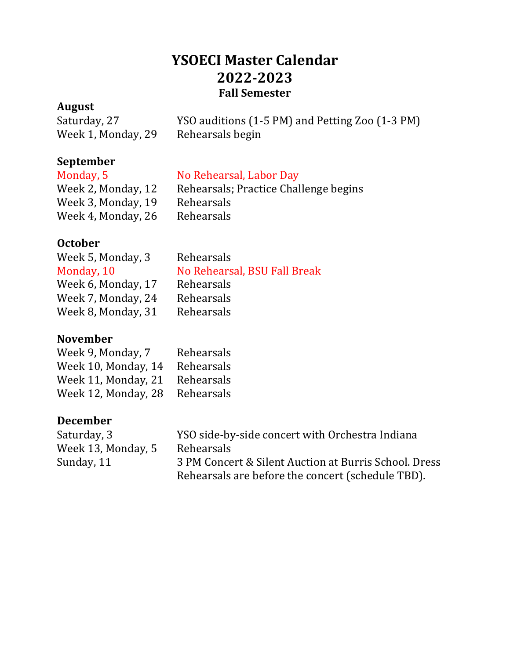# **YSOECI Master Calendar 2022-2023 Fall Semester**

#### **August**

| --------           |                                                 |
|--------------------|-------------------------------------------------|
| Saturday, 27       | YSO auditions (1-5 PM) and Petting Zoo (1-3 PM) |
| Week 1, Monday, 29 | Rehearsals begin                                |

# **September**

#### No Rehearsal, Labor Day

| Week 2, Monday, 12 | Rehearsals; Practice Challenge begins |
|--------------------|---------------------------------------|
| Week 3, Monday, 19 | Rehearsals                            |
| Week 4, Monday, 26 | Rehearsals                            |

# **October**

| Week 5, Monday, 3  | Rehearsals                   |
|--------------------|------------------------------|
| Monday, 10         | No Rehearsal, BSU Fall Break |
| Week 6, Monday, 17 | Rehearsals                   |
| Week 7, Monday, 24 | Rehearsals                   |
| Week 8, Monday, 31 | Rehearsals                   |
|                    |                              |

#### **November**

| Week 9, Monday, 7   | Rehearsals |
|---------------------|------------|
| Week 10, Monday, 14 | Rehearsals |
| Week 11, Monday, 21 | Rehearsals |
| Week 12, Monday, 28 | Rehearsals |

## **December**

| Saturday, 3        | YSO side-by-side concert with Orchestra Indiana       |
|--------------------|-------------------------------------------------------|
| Week 13, Monday, 5 | Rehearsals                                            |
| Sunday, 11         | 3 PM Concert & Silent Auction at Burris School. Dress |
|                    | Rehearsals are before the concert (schedule TBD).     |